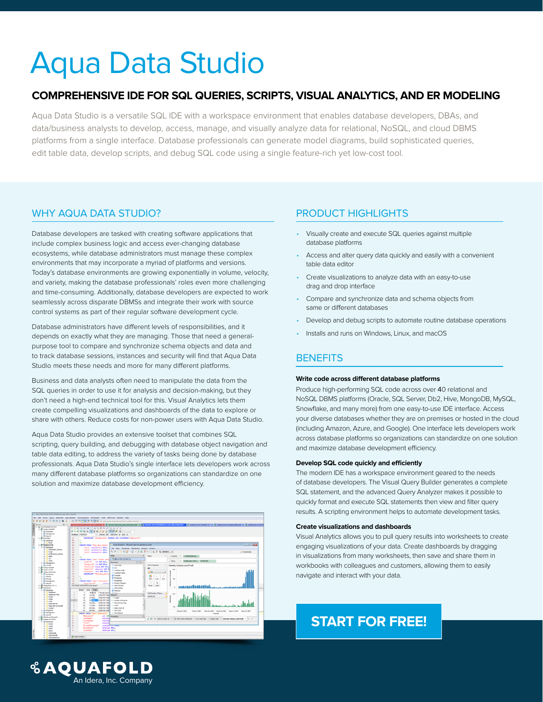# Aqua Data Studio

# **COMPREHENSIVE IDE FOR SQL QUERIES, SCRIPTS, VISUAL ANALYTICS, AND ER MODELING**

Aqua Data Studio is a versatile SQL IDE with a workspace environment that enables database developers, DBAs, and data/business analysts to develop, access, manage, and visually analyze data for relational, NoSQL, and cloud DBMS platforms from a single interface. Database professionals can generate model diagrams, build sophisticated queries, edit table data, develop scripts, and debug SQL code using a single feature-rich yet low-cost tool.

## WHY AQUA DATA STUDIO? PRODUCT HIGHLIGHTS

Database developers are tasked with creating software applications that include complex business logic and access ever-changing database ecosystems, while database administrators must manage these complex environments that may incorporate a myriad of platforms and versions. Today's database environments are growing exponentially in volume, velocity, and variety, making the database professionals' roles even more challenging and time-consuming. Additionally, database developers are expected to work seamlessly across disparate DBMSs and integrate their work with source control systems as part of their regular software development cycle.

Database administrators have different levels of responsibilities, and it depends on exactly what they are managing. Those that need a generalpurpose tool to compare and synchronize schema objects and data and to track database sessions, instances and security will find that Aqua Data Studio meets these needs and more for many different platforms.

Business and data analysts often need to manipulate the data from the SQL queries in order to use it for analysis and decision-making, but they don't need a high-end technical tool for this. Visual Analytics lets them create compelling visualizations and dashboards of the data to explore or share with others. Reduce costs for non-power users with Aqua Data Studio.

Aqua Data Studio provides an extensive toolset that combines SQL scripting, query building, and debugging with database object navigation and table data editing, to address the variety of tasks being done by database professionals. Aqua Data Studio's single interface lets developers work across many different database platforms so organizations can standardize on one solution and maximize database development efficiency.



[An Idera, Inc. Company](https://www.aquafold.com/)

**& AQUAFOLD** 

- Visually create and execute SQL queries against multiple database platforms
- Access and alter query data quickly and easily with a convenient table data editor
- Create visualizations to analyze data with an easy-to-use drag and drop interface
- Compare and synchronize data and schema objects from same or different databases
- Develop and debug scripts to automate routine database operations
- Installs and runs on Windows, Linux, and macOS

# **BENEFITS**

## **Write code across different database platforms**

Produce high-performing SQL code across over 40 relational and NoSQL DBMS platforms (Oracle, SQL Server, Db2, Hive, MongoDB, MySQL, Snowflake, and many more) from one easy-to-use IDE interface. Access your diverse databases whether they are on premises or hosted in the cloud (including Amazon, Azure, and Google). One interface lets developers work across database platforms so organizations can standardize on one solution and maximize database development efficiency.

### **Develop SQL code quickly and efficiently**

The modern IDE has a workspace environment geared to the needs of database developers. The Visual Query Builder generates a complete SQL statement, and the advanced Query Analyzer makes it possible to quickly format and execute SQL statements then view and filter query results. A scripting environment helps to automate development tasks.

## **Create visualizations and dashboards**

Visual Analytics allows you to pull query results into worksheets to create engaging visualizations of your data. Create dashboards by dragging in visualizations from many worksheets, then save and share them in workbooks with colleagues and customers, allowing them to easily navigate and interact with your data.

# **[START FOR FREE!](https://www.aquafold.com/aquadatastudio/trialregform?utm_source=datasheet&utm_medium=inasset&utm_campaign=aqfads&utm_content=pdf 	)**